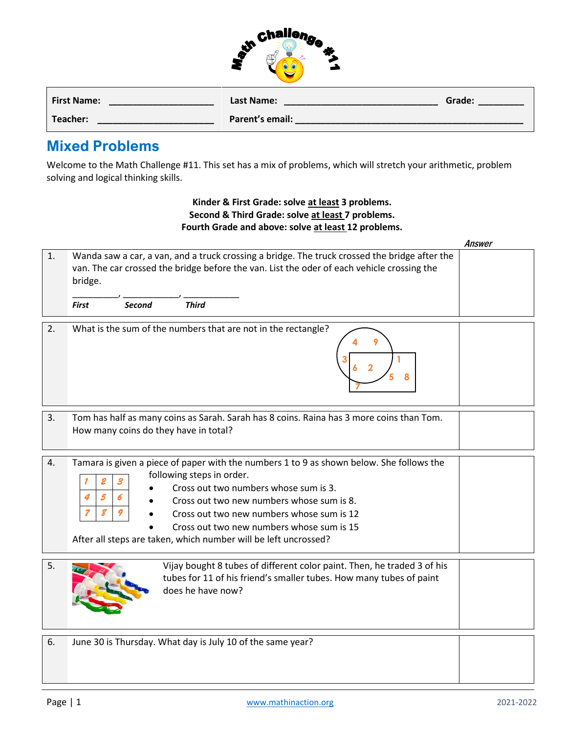| challenge |  |
|-----------|--|
|           |  |
|           |  |
|           |  |

| <b>First Name:</b> | Last Name:      | Grade: |
|--------------------|-----------------|--------|
| Teacher:           | Parent's email: |        |

## **Mixed Problems**

Welcome to the Math Challenge #11. This set has a mix of problems, which will stretch your arithmetic, problem solving and logical thinking skills.

## **Kinder & First Grade: solve at least 3 problems. Second & Third Grade: solve at least 7 problems. Fourth Grade and above: solve at least 12 problems.**

|    |                                                                                                                                                                                                                                                                                                                                                                                                        | Answer |
|----|--------------------------------------------------------------------------------------------------------------------------------------------------------------------------------------------------------------------------------------------------------------------------------------------------------------------------------------------------------------------------------------------------------|--------|
| 1. | Wanda saw a car, a van, and a truck crossing a bridge. The truck crossed the bridge after the<br>van. The car crossed the bridge before the van. List the oder of each vehicle crossing the<br>bridge.                                                                                                                                                                                                 |        |
|    | <b>Third</b><br><b>First</b><br><b>Second</b>                                                                                                                                                                                                                                                                                                                                                          |        |
| 2. | What is the sum of the numbers that are not in the rectangle?                                                                                                                                                                                                                                                                                                                                          |        |
| 3. | Tom has half as many coins as Sarah. Sarah has 8 coins. Raina has 3 more coins than Tom.<br>How many coins do they have in total?                                                                                                                                                                                                                                                                      |        |
| 4. | Tamara is given a piece of paper with the numbers 1 to 9 as shown below. She follows the<br>following steps in order.<br>2<br>3<br>Cross out two numbers whose sum is 3.<br>5<br>4<br>Cross out two new numbers whose sum is 8.<br>7<br>8<br>Cross out two new numbers whose sum is 12<br>Cross out two new numbers whose sum is 15<br>After all steps are taken, which number will be left uncrossed? |        |
| 5. | Vijay bought 8 tubes of different color paint. Then, he traded 3 of his<br>tubes for 11 of his friend's smaller tubes. How many tubes of paint<br>does he have now?                                                                                                                                                                                                                                    |        |
| 6. | June 30 is Thursday. What day is July 10 of the same year?                                                                                                                                                                                                                                                                                                                                             |        |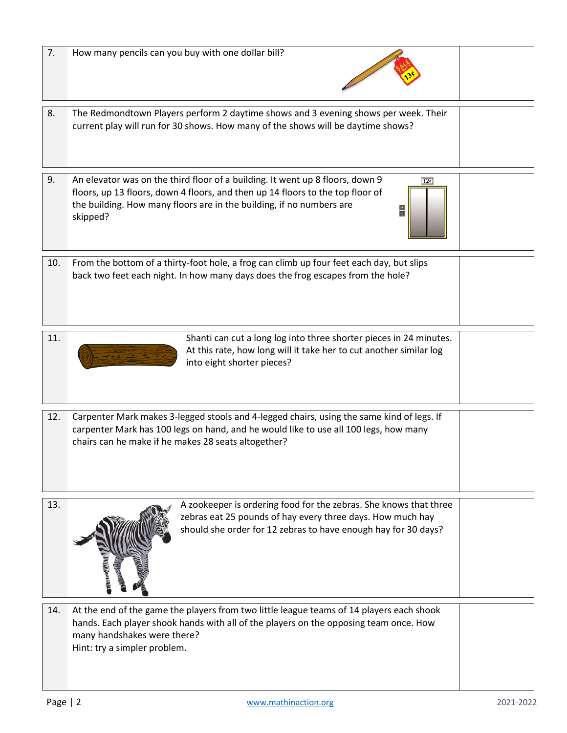| 7.  | How many pencils can you buy with one dollar bill?                                                                                                                                                                                                                                    |  |
|-----|---------------------------------------------------------------------------------------------------------------------------------------------------------------------------------------------------------------------------------------------------------------------------------------|--|
| 8.  | The Redmondtown Players perform 2 daytime shows and 3 evening shows per week. Their<br>current play will run for 30 shows. How many of the shows will be daytime shows?                                                                                                               |  |
| 9.  | An elevator was on the third floor of a building. It went up 8 floors, down 9<br>$12$ *<br>floors, up 13 floors, down 4 floors, and then up 14 floors to the top floor of<br>the building. How many floors are in the building, if no numbers are<br>$\frac{1}{\sqrt{2}}$<br>skipped? |  |
| 10. | From the bottom of a thirty-foot hole, a frog can climb up four feet each day, but slips<br>back two feet each night. In how many days does the frog escapes from the hole?                                                                                                           |  |
| 11. | Shanti can cut a long log into three shorter pieces in 24 minutes.<br>At this rate, how long will it take her to cut another similar log<br>into eight shorter pieces?                                                                                                                |  |
| 12. | Carpenter Mark makes 3-legged stools and 4-legged chairs, using the same kind of legs. If<br>carpenter Mark has 100 legs on hand, and he would like to use all 100 legs, how many<br>chairs can he make if he makes 28 seats altogether?                                              |  |
| 13. | A zookeeper is ordering food for the zebras. She knows that three<br>zebras eat 25 pounds of hay every three days. How much hay<br>should she order for 12 zebras to have enough hay for 30 days?                                                                                     |  |
| 14. | At the end of the game the players from two little league teams of 14 players each shook<br>hands. Each player shook hands with all of the players on the opposing team once. How<br>many handshakes were there?<br>Hint: try a simpler problem.                                      |  |